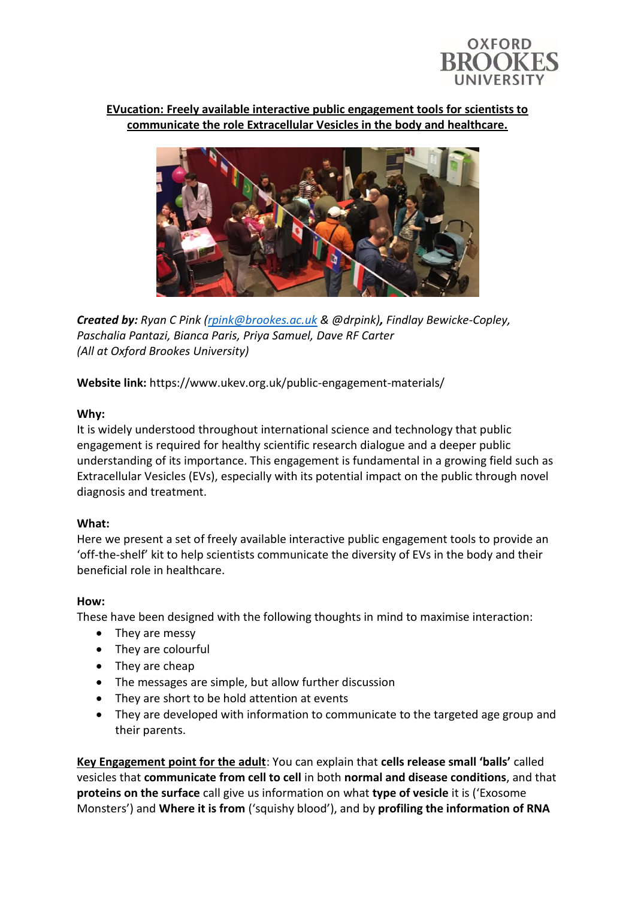

### **EVucation: Freely available interactive public engagement tools for scientists to communicate the role Extracellular Vesicles in the body and healthcare.**



*Created by: Ryan C Pink [\(rpink@brookes.ac.uk](mailto:rpink@brookes.ac.uk) & @drpink), Findlay Bewicke-Copley, Paschalia Pantazi, Bianca Paris, Priya Samuel, Dave RF Carter (All at Oxford Brookes University)*

**Website link:** https://www.ukev.org.uk/public-engagement-materials/

#### **Why:**

It is widely understood throughout international science and technology that public engagement is required for healthy scientific research dialogue and a deeper public understanding of its importance. This engagement is fundamental in a growing field such as Extracellular Vesicles (EVs), especially with its potential impact on the public through novel diagnosis and treatment.

#### **What:**

Here we present a set of freely available interactive public engagement tools to provide an 'off-the-shelf' kit to help scientists communicate the diversity of EVs in the body and their beneficial role in healthcare.

#### **How:**

These have been designed with the following thoughts in mind to maximise interaction:

- They are messy
- They are colourful
- They are cheap
- The messages are simple, but allow further discussion
- They are short to be hold attention at events
- They are developed with information to communicate to the targeted age group and their parents.

**Key Engagement point for the adult**: You can explain that **cells release small 'balls'** called vesicles that **communicate from cell to cell** in both **normal and disease conditions**, and that **proteins on the surface** call give us information on what **type of vesicle** it is ('Exosome Monsters') and **Where it is from** ('squishy blood'), and by **profiling the information of RNA**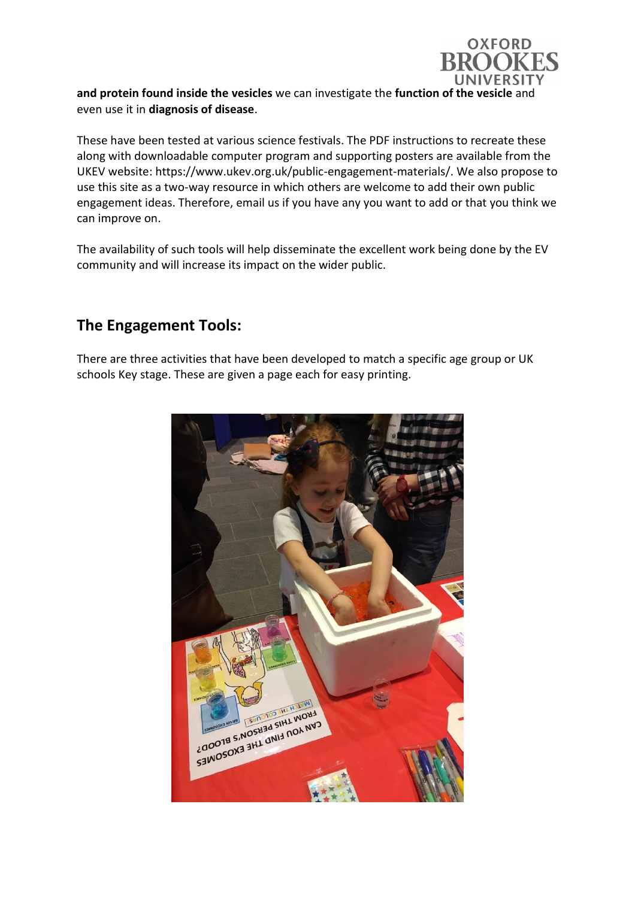

**and protein found inside the vesicles** we can investigate the **function of the vesicle** and even use it in **diagnosis of disease**.

These have been tested at various science festivals. The PDF instructions to recreate these along with downloadable computer program and supporting posters are available from the UKEV website: https://www.ukev.org.uk/public-engagement-materials/. We also propose to use this site as a two-way resource in which others are welcome to add their own public engagement ideas. Therefore, email us if you have any you want to add or that you think we can improve on.

The availability of such tools will help disseminate the excellent work being done by the EV community and will increase its impact on the wider public.

### **The Engagement Tools:**

There are three activities that have been developed to match a specific age group or UK schools Key stage. These are given a page each for easy printing.

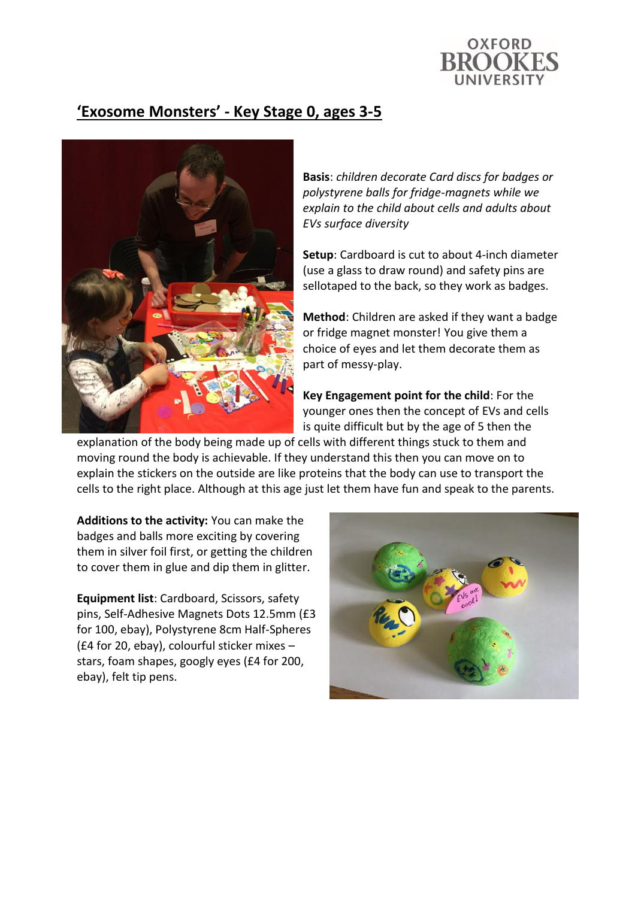

## **'Exosome Monsters' - Key Stage 0, ages 3-5**



**Basis**: *children decorate Card discs for badges or polystyrene balls for fridge-magnets while we explain to the child about cells and adults about EVs surface diversity*

**Setup**: Cardboard is cut to about 4-inch diameter (use a glass to draw round) and safety pins are sellotaped to the back, so they work as badges.

**Method**: Children are asked if they want a badge or fridge magnet monster! You give them a choice of eyes and let them decorate them as part of messy-play.

**Key Engagement point for the child**: For the younger ones then the concept of EVs and cells is quite difficult but by the age of 5 then the

explanation of the body being made up of cells with different things stuck to them and moving round the body is achievable. If they understand this then you can move on to explain the stickers on the outside are like proteins that the body can use to transport the cells to the right place. Although at this age just let them have fun and speak to the parents.

**Additions to the activity:** You can make the badges and balls more exciting by covering them in silver foil first, or getting the children to cover them in glue and dip them in glitter.

**Equipment list**: Cardboard, Scissors, safety pins, Self-Adhesive Magnets Dots 12.5mm (£3 for 100, ebay), Polystyrene 8cm Half-Spheres (£4 for 20, ebay), colourful sticker mixes – stars, foam shapes, googly eyes (£4 for 200, ebay), felt tip pens.

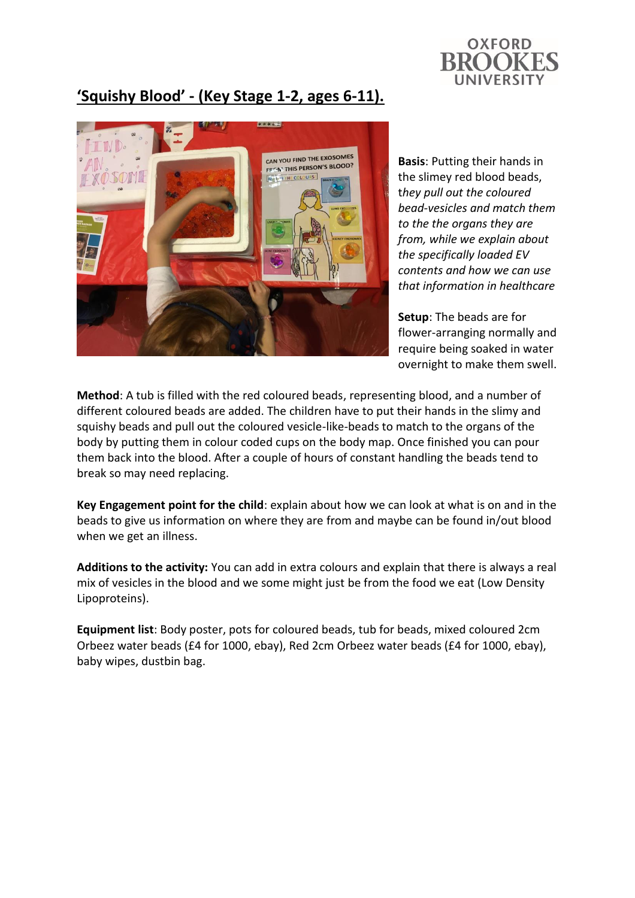

# **'Squishy Blood' - (Key Stage 1-2, ages 6-11).**



**Basis**: Putting their hands in the slimey red blood beads, t*hey pull out the coloured bead-vesicles and match them to the the organs they are from, while we explain about the specifically loaded EV contents and how we can use that information in healthcare*

**Setup**: The beads are for flower-arranging normally and require being soaked in water overnight to make them swell.

**Method**: A tub is filled with the red coloured beads, representing blood, and a number of different coloured beads are added. The children have to put their hands in the slimy and squishy beads and pull out the coloured vesicle-like-beads to match to the organs of the body by putting them in colour coded cups on the body map. Once finished you can pour them back into the blood. After a couple of hours of constant handling the beads tend to break so may need replacing.

**Key Engagement point for the child**: explain about how we can look at what is on and in the beads to give us information on where they are from and maybe can be found in/out blood when we get an illness.

**Additions to the activity:** You can add in extra colours and explain that there is always a real mix of vesicles in the blood and we some might just be from the food we eat (Low Density Lipoproteins).

**Equipment list**: Body poster, pots for coloured beads, tub for beads, mixed coloured 2cm Orbeez water beads (£4 for 1000, ebay), Red 2cm Orbeez water beads (£4 for 1000, ebay), baby wipes, dustbin bag.